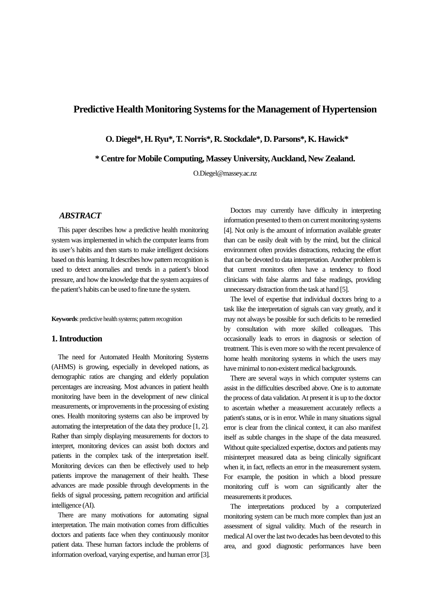# **Predictive Health Monitoring Systems for the Management of Hypertension**

 **O. Diegel\*, H. Ryu\*, T. Norris\*, R. Stockdale\*, D. Parsons\*, K. Hawick\*** 

**\* Centre for Mobile Computing, Massey University, Auckland, New Zealand.** 

O.Diegel@massey.ac.nz

### *ABSTRACT*

This paper describes how a predictive health monitoring system was implemented in which the computer learns from its user's habits and then starts to make intelligent decisions based on this learning. It describes how pattern recognition is used to detect anomalies and trends in a patient's blood pressure, and how the knowledge that the system acquires of the patient's habits can be used to fine tune the system.

**Keywords**: predictive health systems; pattern recognition

## **1. Introduction**

The need for Automated Health Monitoring Systems (AHMS) is growing, especially in developed nations, as demographic ratios are changing and elderly population percentages are increasing. Most advances in patient health monitoring have been in the development of new clinical measurements, or improvements in the processing of existing ones. Health monitoring systems can also be improved by automating the interpretation of the data they produce [1, 2]. Rather than simply displaying measurements for doctors to interpret, monitoring devices can assist both doctors and patients in the complex task of the interpretation itself. Monitoring devices can then be effectively used to help patients improve the management of their health. These advances are made possible through developments in the fields of signal processing, pattern recognition and artificial intelligence (AI).

There are many motivations for automating signal interpretation. The main motivation comes from difficulties doctors and patients face when they continuously monitor patient data. These human factors include the problems of information overload, varying expertise, and human error [3].

Doctors may currently have difficulty in interpreting information presented to them on current monitoring systems [4]. Not only is the amount of information available greater than can be easily dealt with by the mind, but the clinical environment often provides distractions, reducing the effort that can be devoted to data interpretation. Another problem is that current monitors often have a tendency to flood clinicians with false alarms and false readings, providing unnecessary distraction from the task at hand [5].

The level of expertise that individual doctors bring to a task like the interpretation of signals can vary greatly, and it may not always be possible for such deficits to be remedied by consultation with more skilled colleagues. This occasionally leads to errors in diagnosis or selection of treatment. This is even more so with the recent prevalence of home health monitoring systems in which the users may have minimal to non-existent medical backgrounds.

There are several ways in which computer systems can assist in the difficulties described above. One is to automate the process of data validation. At present it is up to the doctor to ascertain whether a measurement accurately reflects a patient's status, or is in error. While in many situations signal error is clear from the clinical context, it can also manifest itself as subtle changes in the shape of the data measured. Without quite specialized expertise, doctors and patients may misinterpret measured data as being clinically significant when it, in fact, reflects an error in the measurement system. For example, the position in which a blood pressure monitoring cuff is worn can significantly alter the measurements it produces.

The interpretations produced by a computerized monitoring system can be much more complex than just an assessment of signal validity. Much of the research in medical AI over the last two decades has been devoted to this area, and good diagnostic performances have been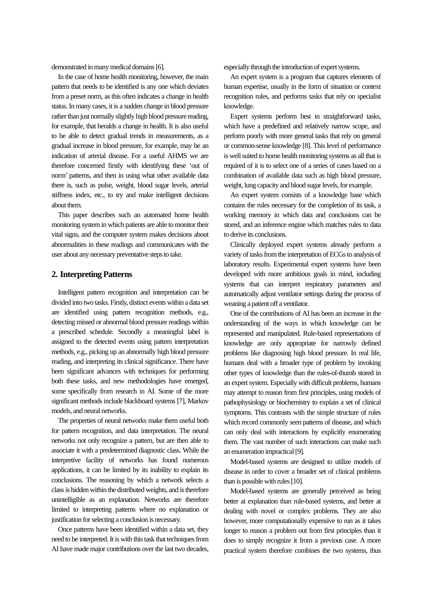demonstrated in many medical domains [6].

In the case of home health monitoring, however, the main pattern that needs to be identified is any one which deviates from a preset norm, as this often indicates a change in health status. In many cases, it is a sudden change in blood pressure rather than just normally slightly high blood pressure reading, for example, that heralds a change in health. It is also useful to be able to detect gradual trends in measurements, as a gradual increase in blood pressure, for example, may be an indication of arterial disease. For a useful AHMS we are therefore concerned firstly with identifying these 'out of norm' patterns, and then in using what other available data there is, such as pulse, weight, blood sugar levels, arterial stiffness index, etc., to try and make intelligent decisions about them.

This paper describes such an automated home health monitoring system in which patients are able to monitor their vital signs, and the computer system makes decisions about abnormalities in these readings and communicates with the user about any necessary preventative steps to take.

### **2. Interpreting Patterns**

Intelligent pattern recognition and interpretation can be divided into two tasks. Firstly, distinct events within a data set are identified using pattern recognition methods, e.g., detecting missed or abnormal blood pressure readings within a prescribed schedule. Secondly a meaningful label is assigned to the detected events using pattern interpretation methods, e.g., picking up an abnormally high blood pressure reading, and interpreting its clinical significance. There have been significant advances with techniques for performing both these tasks, and new methodologies have emerged, some specifically from research in AI. Some of the more significant methods include blackboard systems [7], Markov models, and neural networks.

The properties of neural networks make them useful both for pattern recognition, and data interpretation. The neural networks not only recognize a pattern, but are then able to associate it with a predetermined diagnostic class. While the interpretive facility of networks has found numerous applications, it can be limited by its inability to explain its conclusions. The reasoning by which a network selects a class is hidden within the distributed weights, and is therefore unintelligible as an explanation. Networks are therefore limited to interpreting patterns where no explanation or justification for selecting a conclusion is necessary.

Once patterns have been identified within a data set, they need to be interpreted. It is with this task that techniques from AI have made major contributions over the last two decades,

especially through the introduction of expert systems.

An expert system is a program that captures elements of human expertise, usually in the form of situation or context recognition rules, and performs tasks that rely on specialist knowledge.

Expert systems perform best in straightforward tasks, which have a predefined and relatively narrow scope, and perform poorly with more general tasks that rely on general or common-sense knowledge [8]. This level of performance is well suited to home health monitoring systems as all that is required of it is to select one of a series of cases based on a combination of available data such as high blood pressure, weight, lung capacity and blood sugar levels, for example.

An expert system consists of a knowledge base which contains the rules necessary for the completion of its task, a working memory in which data and conclusions can be stored, and an inference engine which matches rules to data to derive its conclusions.

Clinically deployed expert systems already perform a variety of tasks from the interpretation of ECGs to analysis of laboratory results. Experimental expert systems have been developed with more ambitious goals in mind, including systems that can interpret respiratory parameters and automatically adjust ventilator settings during the process of weaning a patient off a ventilator.

One of the contributions of AI has been an increase in the understanding of the ways in which knowledge can be represented and manipulated. Rule-based representations of knowledge are only appropriate for narrowly defined problems like diagnosing high blood pressure. In real life, humans deal with a broader type of problem by invoking other types of knowledge than the rules-of-thumb stored in an expert system. Especially with difficult problems, humans may attempt to reason from first principles, using models of pathophysiology or biochemistry to explain a set of clinical symptoms. This contrasts with the simple structure of rules which record commonly seen patterns of disease, and which can only deal with interactions by explicitly enumerating them. The vast number of such interactions can make such an enumeration impractical [9].

Model-based systems are designed to utilize models of disease in order to cover a broader set of clinical problems than is possible with rules [10].

Model-based systems are generally perceived as being better at explanation than rule-based systems, and better at dealing with novel or complex problems. They are also however, more computationally expensive to run as it takes longer to reason a problem out from first principles than it does to simply recognize it from a previous case. A more practical system therefore combines the two systems, thus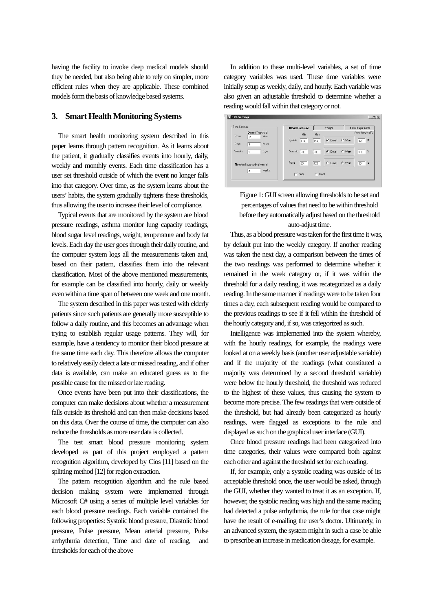having the facility to invoke deep medical models should they be needed, but also being able to rely on simpler, more efficient rules when they are applicable. These combined models form the basis of knowledge based systems.

#### **3. Smart Health Monitoring Systems**

The smart health monitoring system described in this paper learns through pattern recognition. As it learns about the patient, it gradually classifies events into hourly, daily, weekly and monthly events. Each time classification has a user set threshold outside of which the event no longer falls into that category. Over time, as the system learns about the users' habits, the system gradually tightens these thresholds, thus allowing the user to increase their level of compliance.

Typical events that are monitored by the system are blood pressure readings, asthma monitor lung capacity readings, blood sugar level readings, weight, temperature and body fat levels. Each day the user goes through their daily routine, and the computer system logs all the measurements taken and, based on their pattern, classifies them into the relevant classification. Most of the above mentioned measurements, for example can be classified into hourly, daily or weekly even within a time span of between one week and one month.

The system described in this paper was tested with elderly patients since such patients are generally more susceptible to follow a daily routine, and this becomes an advantage when trying to establish regular usage patterns. They will, for example, have a tendency to monitor their blood pressure at the same time each day. This therefore allows the computer to relatively easily detect a late or missed reading, and if other data is available, can make an educated guess as to the possible cause for the missed or late reading.

Once events have been put into their classifications, the computer can make decisions about whether a measurement falls outside its threshold and can then make decisions based on this data. Over the course of time, the computer can also reduce the thresholds as more user data is collected.

The test smart blood pressure monitoring system developed as part of this project employed a pattern recognition algorithm, developed by Cios [11] based on the splitting method [12] for region extraction.

The pattern recognition algorithm and the rule based decision making system were implemented through Microsoft C# using a series of multiple level variables for each blood pressure readings. Each variable contained the following properties: Systolic blood pressure, Diastolic blood pressure, Pulse pressure, Mean arterial pressure, Pulse arrhythmia detection, Time and date of reading, and thresholds for each of the above

In addition to these multi-level variables, a set of time category variables was used. These time variables were initially setup as weekly, daily, and hourly. Each variable was also given an adjustable threshold to determine whether a reading would fall within that category or not.

| Time Settings: |                                | <b>Blood Pressure</b> |     | Weight      |         | Blood Sugar Level   |  |
|----------------|--------------------------------|-----------------------|-----|-------------|---------|---------------------|--|
| Hours          | Current Threshold<br>mins      | Min                   | Max |             |         | Auto-threshold %    |  |
| Days           | 15<br>hours<br>l3              | Systolic<br>110       | 140 | $G$ E-mail  | C Wam   | $\%$<br>90          |  |
| Weeks          | days                           | Diastolic 60          | 90  | $C$ E-mail. | C Wam   | $\frac{9}{6}$<br>90 |  |
|                | Threshold auto-tuning interval | Pulse<br>55           | 120 | $C$ E-mail  | $G$ Wam | $\%$<br>90          |  |

Figure 1: GUI screen allowing thresholds to be set and percentages of values that need to be within threshold before they automatically adjust based on the threshold auto-adjust time.

Thus, as a blood pressure was taken for the first time it was, by default put into the weekly category. If another reading was taken the next day, a comparison between the times of the two readings was performed to determine whether it remained in the week category or, if it was within the threshold for a daily reading, it was recategorized as a daily reading. In the same manner if readings were to be taken four times a day, each subsequent reading would be compared to the previous readings to see if it fell within the threshold of the hourly category and, if so, was categorized as such.

Intelligence was implemented into the system whereby, with the hourly readings, for example, the readings were looked at on a weekly basis (another user adjustable variable) and if the majority of the readings (what constituted a majority was determined by a second threshold variable) were below the hourly threshold, the threshold was reduced to the highest of these values, thus causing the system to become more precise. The few readings that were outside of the threshold, but had already been categorized as hourly readings, were flagged as exceptions to the rule and displayed as such on the graphical user interface (GUI).

Once blood pressure readings had been categorized into time categories, their values were compared both against each other and against the threshold set for each reading.

If, for example, only a systolic reading was outside of its acceptable threshold once, the user would be asked, through the GUI, whether they wanted to treat it as an exception. If, however, the systolic reading was high and the same reading had detected a pulse arrhythmia, the rule for that case might have the result of e-mailing the user's doctor. Ultimately, in an advanced system, the system might in such a case be able to prescribe an increase in medication dosage, for example.